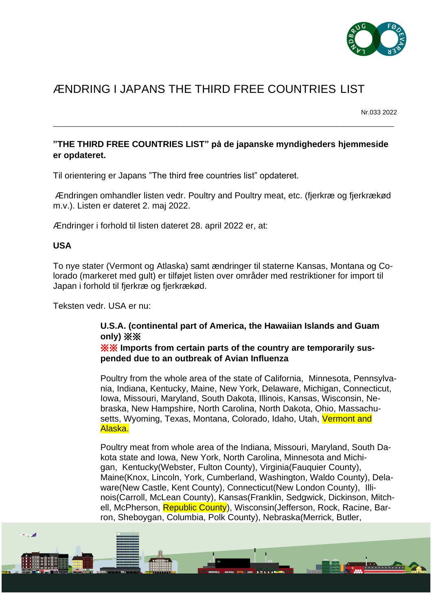

# ÆNDRING I JAPANS THE THIRD FREE COUNTRIES LIST

Nr.033 2022

 $\mathbf{H}$ 

# **"THE THIRD FREE COUNTRIES LIST" på de japanske myndigheders hjemmeside er opdateret.**

\_\_\_\_\_\_\_\_\_\_\_\_\_\_\_\_\_\_\_\_\_\_\_\_\_\_\_\_\_\_\_\_\_\_\_\_\_\_\_\_\_\_\_\_\_\_\_\_\_\_\_\_\_\_\_\_\_\_\_\_\_\_\_\_\_\_\_\_\_\_\_\_\_\_\_\_\_\_\_\_\_\_\_\_\_\_\_\_\_\_\_\_\_\_

Til orientering er Japans "The third free countries list" opdateret.

Ændringen omhandler listen vedr. Poultry and Poultry meat, etc. (fjerkræ og fjerkrækød m.v.). Listen er dateret 2. maj 2022.

Ændringer i forhold til listen dateret 28. april 2022 er, at:

### **USA**

فيرد

To nye stater (Vermont og Atlaska) samt ændringer til staterne Kansas, Montana og Colorado (markeret med gult) er tilføjet listen over områder med restriktioner for import til Japan i forhold til fjerkræ og fjerkrækød.

Teksten vedr. USA er nu:

# **U.S.A. (continental part of America, the Hawaiian Islands and Guam only)** ※※

※※ **Imports from certain parts of the country are temporarily suspended due to an outbreak of Avian Influenza**

Poultry from the whole area of the state of California, Minnesota, Pennsylvania, Indiana, Kentucky, Maine, New York, Delaware, Michigan, Connecticut, Iowa, Missouri, Maryland, South Dakota, Illinois, Kansas, Wisconsin, Nebraska, New Hampshire, North Carolina, North Dakota, Ohio, Massachusetts, Wyoming, Texas, Montana, Colorado, Idaho, Utah, Vermont and Alaska.

Poultry meat from whole area of the Indiana, Missouri, Maryland, South Dakota state and Iowa, New York, North Carolina, Minnesota and Michigan, Kentucky(Webster, Fulton County), Virginia(Fauquier County), Maine(Knox, Lincoln, York, Cumberland, Washington, Waldo County), Delaware(New Castle, Kent County), Connecticut(New London County), Illinois(Carroll, McLean County), Kansas(Franklin, Sedgwick, Dickinson, Mitchell, McPherson, Republic County), Wisconsin(Jefferson, Rock, Racine, Barron, Sheboygan, Columbia, Polk County), Nebraska(Merrick, Butler,